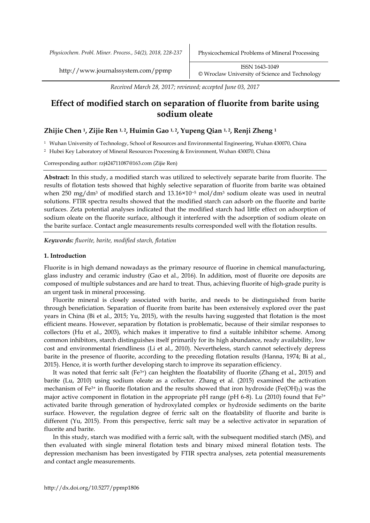*Physicochem. Probl. Miner. Process., 54(2), 2018, 228-237* Physicochemical Problems of Mineral Processing

http://www.journalssystem.com/ppmp ISSN 1643-1049 [©](http://www.minproc.pwr.wroc.pl/journal/) Wroclaw University of Science and Technology

*Received March 28, 2017; reviewed; accepted June 03, 2017*

# **Effect of modified starch on separation of fluorite from barite using sodium oleate**

### **Zhijie Chen 1, Zijie Ren 1, 2, Huimin Gao 1, 2, Yupeng Qian 1, 2, Renji Zheng <sup>1</sup>**

<sup>1</sup> Wuhan University of Technology, School of Resources and Environmental Engineering, Wuhan 430070, China

<sup>2</sup> Hubei Key Laboratory of Mineral Resources Processing & Environment, Wuhan 430070, China

Corresponding author: rzj424711087@163.com (Zijie Ren)

**Abstract:** In this study, a modified starch was utilized to selectively separate barite from fluorite. The results of flotation tests showed that highly selective separation of fluorite from barite was obtained when 250 mg/dm<sup>3</sup> of modified starch and 13.16×10−5 mol/dm<sup>3</sup> sodium oleate was used in neutral solutions. FTIR spectra results showed that the modified starch can adsorb on the fluorite and barite surfaces. Zeta potential analyses indicated that the modified starch had little effect on adsorption of sodium oleate on the fluorite surface, although it interfered with the adsorption of sodium oleate on the barite surface. Contact angle measurements results corresponded well with the flotation results.

*Keywords: fluorite, barite, modified starch, flotation*

#### **1. Introduction**

Fluorite is in high demand nowadays as the primary resource of fluorine in chemical manufacturing, glass industry and ceramic industry (Gao et al., 2016). In addition, most of fluorite ore deposits are composed of multiple substances and are hard to treat. Thus, achieving fluorite of high-grade purity is an urgent task in mineral processing.

Fluorite mineral is closely associated with barite, and needs to be distinguished from barite through beneficiation. Separation of fluorite from barite has been extensively explored over the past years in China (Bi et al., 2015; Yu, 2015), with the results having suggested that flotation is the most efficient means. However, separation by flotation is problematic, because of their similar responses to collectors (Hu et al., 2003), which makes it imperative to find a suitable inhibitor scheme. Among common inhibitors, starch distinguishes itself primarily for its high abundance, ready availability, low cost and environmental friendliness (Li et al., 2010). Nevertheless, starch cannot selectively depress barite in the presence of fluorite, according to the preceding flotation results (Hanna, 1974; Bi at al., 2015). Hence, it is worth further developing starch to improve its separation efficiency.

It was noted that ferric salt (Fe $3+$ ) can heighten the floatability of fluorite (Zhang et al., 2015) and barite (Lu, 2010) using sodium oleate as a collector. Zhang et al. (2015) examined the activation mechanism of Fe<sup>3+</sup> in fluorite flotation and the results showed that iron hydroxide (Fe(OH)<sub>3</sub>) was the major active component in flotation in the appropriate pH range (pH 6-8). Lu (2010) found that Fe<sup>3+</sup> activated barite through generation of hydroxylated complex or hydroxide sediments on the barite surface. However, the regulation degree of ferric salt on the floatability of fluorite and barite is different (Yu, 2015). From this perspective, ferric salt may be a selective activator in separation of fluorite and barite.

In this study, starch was modified with a ferric salt, with the subsequent modified starch (MS), and then evaluated with single mineral flotation tests and binary mixed mineral flotation tests. The depression mechanism has been investigated by FTIR spectra analyses, zeta potential measurements and contact angle measurements.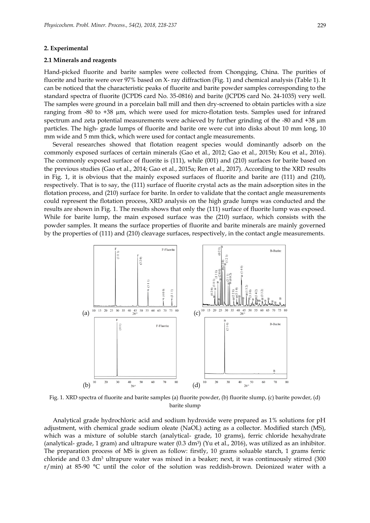#### **2. Experimental**

#### **2.1 Minerals and reagents**

Hand-picked fluorite and barite samples were collected from Chongqing, China. The purities of fluorite and barite were over 97% based on X- ray diffraction (Fig. 1) and chemical analysis (Table 1). It can be noticed that the characteristic peaks of fluorite and barite powder samples corresponding to the standard spectra of fluorite (JCPDS card No. 35-0816) and barite (JCPDS card No. 24-1035) very well. The samples were ground in a porcelain ball mill and then dry-screened to obtain particles with a size ranging from -80 to +38 µm, which were used for micro-flotation tests. Samples used for infrared spectrum and zeta potential measurements were achieved by further grinding of the -80 and +38  $\mu$ m particles. The high- grade lumps of fluorite and barite ore were cut into disks about 10 mm long, 10 mm wide and 5 mm thick, which were used for contact angle measurements.

Several researches showed that flotation reagent species would dominantly adsorb on the commonly exposed surfaces of certain minerals (Gao et al., 2012; Gao et al., 2015b; Kou et al., 2016). The commonly exposed surface of fluorite is (111), while (001) and (210) surfaces for barite based on the previous studies (Gao et al., 2014; Gao et al., 2015a; Ren et al., 2017). According to the XRD results in Fig. 1, it is obvious that the mainly exposed surfaces of fluorite and barite are (111) and (210), respectively. That is to say, the (111) surface of fluorite crystal acts as the main adsorption sites in the flotation process, and (210) surface for barite. In order to validate that the contact angle measurements could represent the flotation process, XRD analysis on the high grade lumps was conducted and the results are shown in Fig. 1. The results shows that only the (111) surface of fluorite lump was exposed. While for barite lump, the main exposed surface was the (210) surface, which consists with the powder samples. It means the surface properties of fluorite and barite minerals are mainly governed by the properties of (111) and (210) cleavage surfaces, respectively, in the contact angle measurements.



Fig. 1. XRD spectra of fluorite and barite samples (a) fluorite powder, (b) fluorite slump, (c) barite powder, (d) barite slump

Analytical grade hydrochloric acid and sodium hydroxide were prepared as 1% solutions for pH adjustment, with chemical grade sodium oleate (NaOL) acting as a collector. Modified starch (MS), which was a mixture of soluble starch (analytical- grade, 10 grams), ferric chloride hexahydrate (analytical- grade, 1 gram) and ultrapure water (0.3 dm<sup>3</sup> ) (Yu et al., 2016), was utilized as an inhibitor. The preparation process of MS is given as follow: firstly, 10 grams soluable starch, 1 grams ferric chloride and  $0.3$  dm<sup>3</sup> ultrapure water was mixed in a beaker; next, it was continuously stirred  $(300)$ r/min) at 85-90 °C until the color of the solution was reddish-brown. Deionized water with a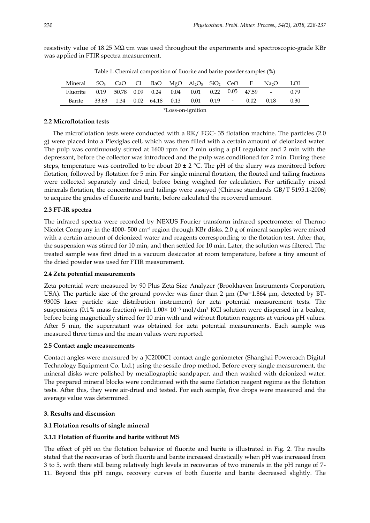| Mineral SO <sub>3</sub> CaO Cl BaO MgO Al <sub>2</sub> O <sub>3</sub> SiO <sub>2</sub> CeO F Na <sub>2</sub> O |  |  |  |  |  |                                             |  |  |      | – LOI |
|----------------------------------------------------------------------------------------------------------------|--|--|--|--|--|---------------------------------------------|--|--|------|-------|
| Fluorite 0.19 50.78 0.09 0.24 0.04 0.01 0.22 0.05 47.59 -                                                      |  |  |  |  |  |                                             |  |  |      | 0.79  |
| Barite                                                                                                         |  |  |  |  |  | 33.63 1.34 0.02 64.18 0.13 0.01 0.19 - 0.02 |  |  | 0.18 | 0.30  |
| *Loss-on-ignition                                                                                              |  |  |  |  |  |                                             |  |  |      |       |

resistivity value of 18.25 M $\Omega$  cm was used throughout the experiments and spectroscopic-grade KBr was applied in FTIR spectra measurement.

Table 1. Chemical composition of fluorite and barite powder samples (%)

### **2.2 Microflotation tests**

The microflotation tests were conducted with a RK/ FGC- 35 flotation machine. The particles (2.0 g) were placed into a Plexiglas cell, which was then filled with a certain amount of deionized water. The pulp was continuously stirred at 1600 rpm for 2 min using a pH regulator and 2 min with the depressant, before the collector was introduced and the pulp was conditioned for 2 min. During these steps, temperature was controlled to be about 20  $\pm$  2 °C. The pH of the slurry was monitored before flotation, followed by flotation for 5 min. For single mineral flotation, the floated and tailing fractions were collected separately and dried, before being weighed for calculation. For artificially mixed minerals flotation, the concentrates and tailings were assayed (Chinese standards GB/T 5195.1-2006) to acquire the grades of fluorite and barite, before calculated the recovered amount.

# **2.3 FT-IR spectra**

The infrared spectra were recorded by NEXUS Fourier transform infrared spectrometer of Thermo Nicolet Company in the 4000- 500 cm<sup>-1</sup> region through KBr disks. 2.0 g of mineral samples were mixed with a certain amount of deionized water and reagents corresponding to the flotation test. After that, the suspension was stirred for 10 min, and then settled for 10 min. Later, the solution was filtered. The treated sample was first dried in a vacuum desiccator at room temperature, before a tiny amount of the dried powder was used for FTIR measurement.

### **2.4 Zeta potential measurements**

Zeta potential were measured by 90 Plus Zeta Size Analyzer (Brookhaven Instruments Corporation, USA). The particle size of the ground powder was finer than 2 μm ( $D_{98}$ =1.864 μm, detected by BT-9300S laser particle size distribution instrument) for zeta potential measurement tests. The suspensions (0.1% mass fraction) with 1.00× 10<sup>-3</sup> mol/dm<sup>3</sup> KCl solution were dispersed in a beaker, before being magnetically stirred for 10 min with and without flotation reagents at various pH values. After 5 min, the supernatant was obtained for zeta potential measurements. Each sample was measured three times and the mean values were reported.

# **2.5 Contact angle measurements**

Contact angles were measured by a JC2000C1 contact angle goniometer (Shanghai Powereach Digital Technology Equipment Co. Ltd.) using the sessile drop method. Before every single measurement, the mineral disks were polished by metallographic sandpaper, and then washed with deionized water. The prepared mineral blocks were conditioned with the same flotation reagent regime as the flotation tests. After this, they were air-dried and tested. For each sample, five drops were measured and the average value was determined.

# **3. Results and discussion**

# **3.1 Flotation results of single mineral**

# **3.1.1 Flotation of fluorite and barite without MS**

The effect of pH on the flotation behavior of fluorite and barite is illustrated in Fig. 2. The results stated that the recoveries of both fluorite and barite increased drastically when pH was increased from 3 to 5, with there still being relatively high levels in recoveries of two minerals in the pH range of 7- 11. Beyond this pH range, recovery curves of both fluorite and barite decreased slightly. The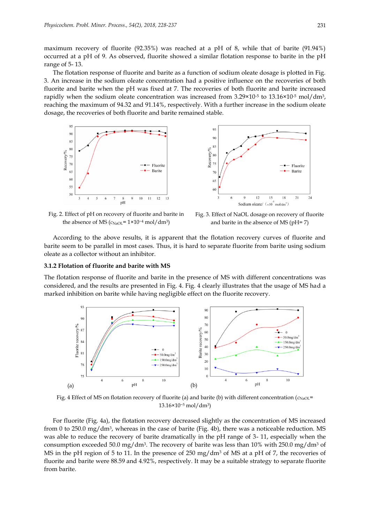maximum recovery of fluorite (92.35%) was reached at a pH of 8, while that of barite (91.94%) occurred at a pH of 9. As observed, fluorite showed a similar flotation response to barite in the pH range of 5- 13.

The flotation response of fluorite and barite as a function of sodium oleate dosage is plotted in Fig. 3. An increase in the sodium oleate concentration had a positive influence on the recoveries of both fluorite and barite when the pH was fixed at 7. The recoveries of both fluorite and barite increased rapidly when the sodium oleate concentration was increased from 3.29×10<sup>-5</sup> to 13.16×10<sup>-5</sup> mol/dm<sup>3</sup>, reaching the maximum of 94.32 and 91.14%, respectively. With a further increase in the sodium oleate dosage, the recoveries of both fluorite and barite remained stable.





Fig. 2. Effect of pH on recovery of fluorite and barite in the absence of MS ( $c$ <sub>NaOL</sub>= 1×10<sup>-4</sup> mol/dm<sup>3</sup>)

Fig. 3. Effect of NaOL dosage on recovery of fluorite and barite in the absence of MS (pH= 7)

According to the above results, it is apparent that the flotation recovery curves of fluorite and barite seem to be parallel in most cases. Thus, it is hard to separate fluorite from barite using sodium oleate as a collector without an inhibitor.

#### **3.1.2 Flotation of fluorite and barite with MS**

The flotation response of fluorite and barite in the presence of MS with different concentrations was considered, and the results are presented in Fig. 4. Fig. 4 clearly illustrates that the usage of MS had a marked inhibition on barite while having negligible effect on the fluorite recovery.



Fig. 4 Effect of MS on flotation recovery of fluorite (a) and barite (b) with different concentration ( $c_{\text{NaOL}}$ = 13.16×10−<sup>5</sup> mol/dm3)

For fluorite (Fig. 4a), the flotation recovery decreased slightly as the concentration of MS increased from 0 to 250.0 mg/dm<sup>3</sup>, whereas in the case of barite (Fig. 4b), there was a noticeable reduction. MS was able to reduce the recovery of barite dramatically in the pH range of 3- 11, especially when the consumption exceeded 50.0 mg/dm $^3$ . The recovery of barite was less than 10% with 250.0 mg/dm $^3$  of MS in the pH region of 5 to 11. In the presence of 250 mg/dm<sup>3</sup> of MS at a pH of 7, the recoveries of fluorite and barite were 88.59 and 4.92%, respectively. It may be a suitable strategy to separate fluorite from barite.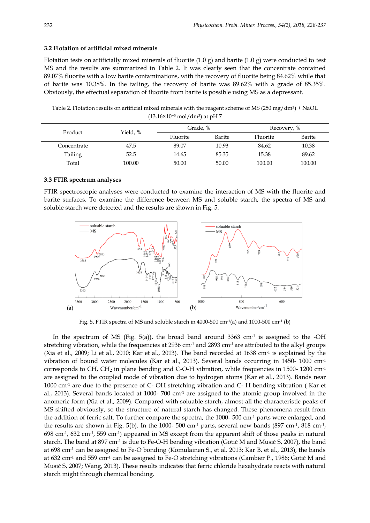### **3.2 Flotation of artificial mixed minerals**

Flotation tests on artificially mixed minerals of fluorite  $(1.0 \text{ g})$  and barite  $(1.0 \text{ g})$  were conducted to test MS and the results are summarized in Table 2. It was clearly seen that the concentrate contained 89.07% fluorite with a low barite contaminations, with the recovery of fluorite being 84.62% while that of barite was 10.38%. In the tailing, the recovery of barite was 89.62% with a grade of 85.35%. Obviously, the effectual separation of fluorite from barite is possible using MS as a depressant.

Table 2. Flotation results on artificial mixed minerals with the reagent scheme of MS (250 mg/dm<sup>3</sup>) + NaOL (13.16×10−<sup>5</sup> mol/dm3) at pH 7

| Product     | Yield, % | Grade, % |        | Recovery, % |        |  |
|-------------|----------|----------|--------|-------------|--------|--|
|             |          | Fluorite | Barite | Fluorite    | Barite |  |
| Concentrate | 47.5     | 89.07    | 10.93  | 84.62       | 10.38  |  |
| Tailing     | 52.5     | 14.65    | 85.35  | 15.38       | 89.62  |  |
| Total       | 100.00   | 50.00    | 50.00  | 100.00      | 100.00 |  |

### **3.3 FTIR spectrum analyses**

FTIR spectroscopic analyses were conducted to examine the interaction of MS with the fluorite and barite surfaces. To examine the difference between MS and soluble starch, the spectra of MS and soluble starch were detected and the results are shown in Fig. 5.



Fig. 5. FTIR spectra of MS and soluble starch in 4000-500 cm-1(a) and 1000-500 cm-1 (b)

In the spectrum of MS (Fig. 5(a)), the broad band around  $3363 \text{ cm}$ <sup>1</sup> is assigned to the -OH stretching vibration, while the frequencies at 2936 cm<sup>-1</sup> and 2893 cm<sup>-1</sup> are attributed to the alkyl groups (Xia et al., 2009; Li et al., 2010; Kar et al., 2013). The band recorded at 1638 cm<sup>-1</sup> is explained by the vibration of bound water molecules (Kar et al., 2013). Several bands occurring in 1450- 1000 cm-1 corresponds to CH, CH<sub>2</sub> in plane bending and C-O-H vibration, while frequencies in 1500- 1200 cm<sup>-1</sup> are assigned to the coupled mode of vibration due to hydrogen atoms (Kar et al., 2013). Bands near 1000 cm-1 are due to the presence of C- OH stretching vibration and C- H bending vibration ( Kar et al., 2013). Several bands located at 1000-700 cm<sup>-1</sup> are assigned to the atomic group involved in the anomeric form (Xia et al., 2009). Compared with soluable starch, almost all the characteristic peaks of MS shifted obviously, so the structure of natural starch has changed. These phenomena result from the addition of ferric salt. To further compare the spectra, the 1000- 500 cm-1 parts were enlarged, and the results are shown in Fig. 5(b). In the 1000- 500 cm<sup>-1</sup> parts, several new bands (897 cm<sup>-1</sup>, 818 cm<sup>-1</sup>, 698 cm-1 , 632 cm-1 , 559 cm-1 ) appeared in MS except from the apparent shift of those peaks in natural starch. The band at 897 cm<sup>-1</sup> is due to Fe-O-H bending vibration (Gotić M and Musić S, 2007), the band at 698 cm-1 can be assigned to Fe-O bonding (Komulainen S., et al. 2013; Kar B, et al., 2013), the bands at 632 cm-1 and 559 cm-1 can be assigned to Fe-O stretching vibrations (Cambier P., 1986; Gotić M and Musić S, 2007; Wang, 2013). These results indicates that ferric chloride hexahydrate reacts with natural starch might through chemical bonding.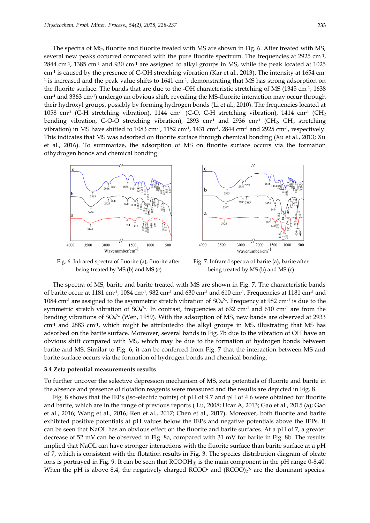The spectra of MS, fluorite and fluorite treated with MS are shown in Fig. 6. After treated with MS, several new peaks occurred compared with the pure fluorite spectrum. The frequencies at 2925 cm-1 ,  $2844$  cm<sup>-1</sup>, 1385 cm<sup>-1</sup> and 930 cm<sup>-1</sup> are assigned to alkyl groups in MS, while the peak located at 1025 cm-1 is caused by the presence of C-OH stretching vibration (Kar et al., 2013). The intensity at 1654 cm- $^{\rm 1}$  is increased and the peak value shifts to 1641 cm $^{\rm 1}$ , demonstrating that MS has strong adsorption on the fluorite surface. The bands that are due to the -OH characteristic stretching of MS (1345 cm-1 , 1638 cm-1 and 3363 cm-1 ) undergo an obvious shift, revealing the MS-fluorite interaction may occur through their hydroxyl groups, possibly by forming hydrogen bonds (Li et al., 2010). The frequencies located at  $1058$  cm<sup>-1</sup> (C-H stretching vibration), 1144 cm<sup>-1</sup> (C-O, C-H stretching vibration), 1414 cm<sup>-1</sup> (CH<sub>2</sub> bending vibration, C-O-O stretching vibration), 2893 cm<sup>-1</sup> and 2936 cm<sup>-1</sup> (CH<sub>2</sub>, CH<sub>3</sub> stretching vibration) in MS have shifted to 1083 cm<sup>-1</sup>, 1152 cm<sup>-1</sup>, 1431 cm<sup>-1</sup>, 2844 cm<sup>-1</sup> and 2925 cm<sup>-1</sup>, respectively. This indicates that MS was adsorbed on fluorite surface through chemical bonding (Xu et al., 2013; Xu et al., 2016). To summarize, the adsorption of MS on fluorite surface occurs via the formation ofhydrogen bonds and chemical bonding.



Fig. 6. Infrared spectra of fluorite (a), fluorite after being treated by MS (b) and MS (c)



Fig. 7. Infrared spectra of barite (a), barite after being treated by MS (b) and MS (c)

The spectra of MS, barite and barite treated with MS are shown in Fig. 7. The characteristic bands of barite occur at 1181 cm<sup>-1</sup>, 1084 cm<sup>-1</sup>, 982 cm<sup>-1</sup> and 630 cm<sup>-1</sup> and 610 cm<sup>-1</sup>. Frequencies at 1181 cm<sup>-1</sup> and 1084 cm<sup>-1</sup> are assigned to the asymmetric stretch vibration of SO<sub>4</sub>2-. Frequency at 982 cm<sup>-1</sup> is due to the symmetric stretch vibration of SO<sub>4</sub><sup>2</sup>. In contrast, frequencies at 632 cm<sup>-1</sup> and 610 cm<sup>-1</sup> are from the bending vibrations of SO<sup>4</sup> 2– (Wen, 1989). With the adsorption of MS, new bands are observed at 2933 cm-1 and 2883 cm-1 , which might be attributedto the alkyl groups in MS, illustrating that MS has adsorbed on the barite surface. Moreover, several bands in Fig. 7b due to the vibration of OH have an obvious shift compared with MS, which may be due to the formation of hydrogen bonds between barite and MS. Similar to Fig. 6, it can be conferred from Fig. 7 that the interaction between MS and barite surface occurs via the formation of hydrogen bonds and chemical bonding.

#### **3.4 Zeta potential measurements results**

To further uncover the selective depression mechanism of MS, zeta potentials of fluorite and barite in the absence and presence of flotation reagents were measured and the results are depicted in Fig. 8.

Fig. 8 shows that the IEPs (iso-electric points) of pH of 9.7 and pH of 4.6 were obtained for fluorite and barite, which are in the range of previous reports ( Lu, 2008; Ucar A, 2013; Gao et al., 2015 (a); Gao et al., 2016; Wang et al., 2016; Ren et al., 2017; Chen et al., 2017). Moreover, both fluorite and barite exhibited positive potentials at pH values below the IEPs and negative potentials above the IEPs. It can be seen that NaOL has an obvious effect on the fluorite and barite surfaces. At a pH of 7, a greater decrease of 52 mV can be observed in Fig. 8a, compared with 31 mV for barite in Fig. 8b. The results implied that NaOL can have stronger interactions with the fluorite surface than barite surface at a pH of 7, which is consistent with the flotation results in Fig. 3. The species distribution diagram of oleate ions is portrayed in Fig. 9. It can be seen that  $RCOOH<sub>0</sub>$  is the main component in the pH range 0-8.40. When the pH is above 8.4, the negatively charged RCOO and  $(RCOO)<sub>2</sub>$ <sup>2</sup> are the dominant species.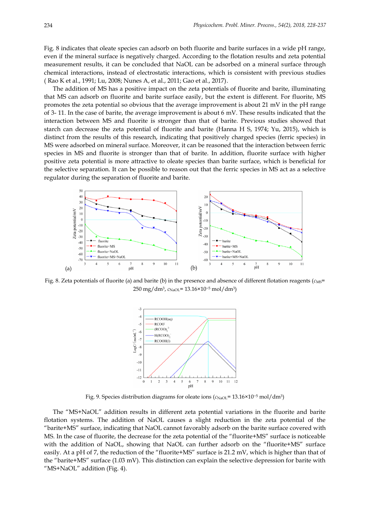Fig. 8 indicates that oleate species can adsorb on both fluorite and barite surfaces in a wide pH range, even if the mineral surface is negatively charged. According to the flotation results and zeta potential measurement results, it can be concluded that NaOL can be adsorbed on a mineral surface through chemical interactions, instead of electrostatic interactions, which is consistent with previous studies ( Rao K et al., 1991; Lu, 2008; Nunes A, et al., 2011; Gao et al., 2017).

The addition of MS has a positive impact on the zeta potentials of fluorite and barite, illuminating that MS can adsorb on fluorite and barite surface easily, but the extent is different. For fluorite, MS promotes the zeta potential so obvious that the average improvement is about 21 mV in the pH range of 3- 11. In the case of barite, the average improvement is about 6 mV. These results indicated that the interaction between MS and fluorite is stronger than that of barite. Previous studies showed that starch can decrease the zeta potential of fluorite and barite (Hanna H S, 1974; Yu, 2015), which is distinct from the results of this research, indicating that positively charged species (ferric species) in MS were adsorbed on mineral surface. Moreover, it can be reasoned that the interaction between ferric species in MS and fluorite is stronger than that of barite. In addition, fluorite surface with higher positive zeta potential is more attractive to oleate species than barite surface, which is beneficial for the selective separation. It can be possible to reason out that the ferric species in MS act as a selective regulator during the separation of fluorite and barite.



Fig. 8. Zeta potentials of fluorite (a) and barite (b) in the presence and absence of different flotation reagents  $(c_{\text{MS}}=$ 250 mg/dm3, *c*NaOL= 13.16×10−<sup>5</sup> mol/dm3)



Fig. 9. Species distribution diagrams for oleate ions ( $c$ <sub>NaOL</sub>= 13.16×10<sup>-5</sup> mol/dm<sup>3</sup>)

The "MS+NaOL" addition results in different zeta potential variations in the fluorite and barite flotation systems. The addition of NaOL causes a slight reduction in the zeta potential of the "barite+MS" surface, indicating that NaOL cannot favorably adsorb on the barite surface covered with MS. In the case of fluorite, the decrease for the zeta potential of the "fluorite+MS" surface is noticeable with the addition of NaOL, showing that NaOL can further adsorb on the "fluorite+MS" surface easily. At a pH of 7, the reduction of the "fluorite+MS" surface is 21.2 mV, which is higher than that of the "barite+MS" surface (1.03 mV). This distinction can explain the selective depression for barite with "MS+NaOL" addition (Fig. 4).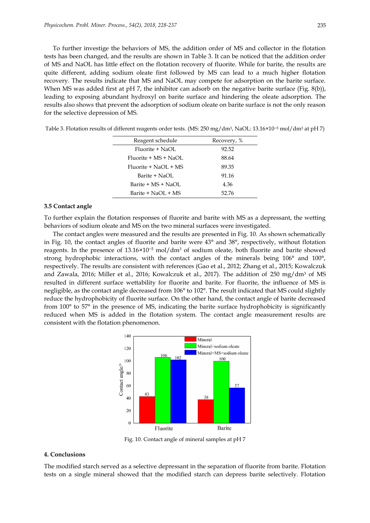To further investige the behaviors of MS, the addition order of MS and collector in the flotation tests has been changed, and the results are shown in Table 3. It can be noticed that the addition order of MS and NaOL has little effect on the flotation recovery of fluorite. While for barite, the results are quite different, adding sodium oleate first followed by MS can lead to a much higher flotation recovery. The results indicate that MS and NaOL may compete for adsorption on the barite surface. When MS was added first at pH 7, the inhibitor can adsorb on the negative barite surface (Fig. 8(b)), leading to exposing abundant hydroxyl on barite surface and hindering the oleate adsorption. The results also shows that prevent the adsorption of sodium oleate on barite surface is not the only reason for the selective depression of MS.

Table 3. Flotation results of different reagents order tests. (MS: 250 mg/dm3, NaOL: 13.16×10−<sup>5</sup> mol/dm<sup>3</sup> at pH 7)

| Reagent schedule         | Recovery, % |
|--------------------------|-------------|
| $Fluorite + NaOI.$       | 92.52       |
| $Fluorite + MS + NaOI$ . | 88.64       |
| $Fluorite + NaOI + MS$   | 89.35       |
| Barite + NaOL            | 91.16       |
| Barite + MS + NaOL       | 4.36        |
| Barite + $NaOI. + MS$    | 52.76       |
|                          |             |

#### **3.5 Contact angle**

To further explain the flotation responses of fluorite and barite with MS as a depressant, the wetting behaviors of sodium oleate and MS on the two mineral surfaces were investigated.

The contact angles were measured and the results are presented in Fig. 10. As shown schematically in Fig. 10, the contact angles of fluorite and barite were 43° and 38°, respectively, without flotation reagents. In the presence of 13.16×10−<sup>5</sup> mol/dm<sup>3</sup> of sodium oleate, both fluorite and barite showed strong hydrophobic interactions, with the contact angles of the minerals being 106° and 100°, respectively. The results are consistent with references (Gao et al., 2012; Zhang et al., 2015; Kowalczuk and Zawala, 2016; Miller et al., 2016; Kowalczuk et al., 2017). The addition of 250 mg/dm<sup>3</sup> of MS resulted in different surface wettability for fluorite and barite. For fluorite, the influence of MS is negligible, as the contact angle decreased from 106° to 102°. The result indicated that MS could slightly reduce the hydrophobicity of fluorite surface. On the other hand, the contact angle of barite decreased from 100° to 57° in the presence of MS, indicating the barite surface hydrophobicity is significantly reduced when MS is added in the flotation system. The contact angle measurement results are consistent with the flotation phenomenon.



Fig. 10. Contact angle of mineral samples at pH 7

#### **4. Conclusions**

The modified starch served as a selective depressant in the separation of fluorite from barite. Flotation tests on a single mineral showed that the modified starch can depress barite selectively. Flotation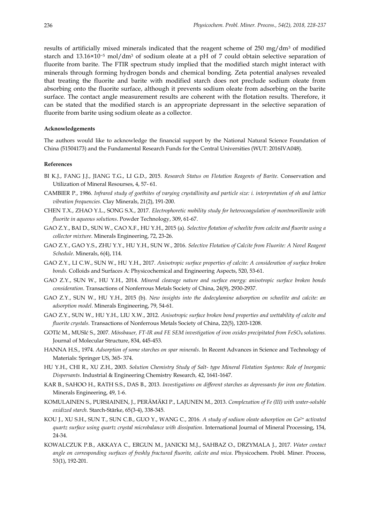results of artificially mixed minerals indicated that the reagent scheme of 250 mg/dm<sup>3</sup> of modified starch and 13.16×10−<sup>5</sup> mol/dm<sup>3</sup> of sodium oleate at a pH of 7 could obtain selective separation of fluorite from barite. The FTIR spectrum study implied that the modified starch might interact with minerals through forming hydrogen bonds and chemical bonding. Zeta potential analyses revealed that treating the fluorite and barite with modified starch does not preclude sodium oleate from absorbing onto the fluorite surface, although it prevents sodium oleate from adsorbing on the barite surface. The contact angle measurement results are coherent with the flotation results. Therefore, it can be stated that the modified starch is an appropriate depressant in the selective separation of fluorite from barite using sodium oleate as a collector.

#### **Acknowledgements**

The authors would like to acknowledge the financial support by the National Natural Science Foundation of China (51504173) and the Fundamental Research Funds for the Central Universities (WUT: 2016IVA048).

#### **References**

- BI K.J., FANG J.J., JIANG T.G., LI G.D., 2015. *Research Status on Flotation Reagents of Barite*. Conservation and Utilization of Mineral Resourses, 4, 57- 61.
- CAMBIER P., 1986. *Infrared study of goethites of varying crystallinity and particle size: i. interpretation of oh and lattice vibration frequencies.* Clay Minerals, 21(2), 191-200.
- CHEN T.X., ZHAO Y.L., SONG S.X., 2017. *Electrophoretic mobility study for heterocoagulation of montmorillonite with fluorite in aqueous solutions*. Powder Technology, 309, 61-67.
- GAO Z.Y., BAI D., SUN W., CAO X.F., HU Y.H., 2015 (a). *Selective flotation of scheelite from calcite and fluorite using a collector mixture*. Minerals Engineering, 72, 23-26.
- GAO Z.Y., GAO Y.S., ZHU Y.Y., HU Y.H., SUN W., 2016. *Selective Flotation of Calcite from Fluorite: A Novel Reagent Schedule*. Minerals, 6(4), 114.
- GAO Z.Y., LI C.W., SUN W., HU Y.H., 2017. *Anisotropic surface properties of calcite: A consideration of surface broken bonds.* Colloids and Surfaces A: Physicochemical and Engineering Aspects, 520, 53-61.
- GAO Z.Y., SUN W., HU Y.H., 2014. *Mineral cleavage nature and surface energy: anisotropic surface broken bonds consideration*. Transactions of Nonferrous Metals Society of China, 24(9), 2930-2937.
- GAO Z.Y., SUN W., HU Y.H., 2015 (b). *New insights into the dodecylamine adsorption on scheelite and calcite: an adsorption model*. Minerals Engineering, 79, 54-61.
- GAO Z.Y., SUN W., HU Y.H., LIU X.W., 2012. *Anisotropic surface broken bond properties and wettability of calcite and fluorite crystals*. Transactions of Nonferrous Metals Society of China, 22(5), 1203-1208.
- GOTIć M., MUSIć S., 2007. *Mössbauer, FT-IR and FE SEM investigation of iron oxides precipitated from FeSO<sup>4</sup> solutions.* Journal of Molecular Structure, 834, 445-453.
- HANNA H.S., 1974. *Adsorption of some starches on spar minerals*. In Recent Advances in Science and Technology of Materials: Springer US, 365- 374.
- HU Y.H., CHI R., XU Z.H., 2003. *Solution Chemistry Study of Salt- type Mineral Flotation Systems: Role of Inorganic Dispersants*. Industrial & Engineering Chemistry Research*,* 42, 1641-1647.
- KAR B., SAHOO H., RATH S.S., DAS B., 2013*. Investigations on different starches as depressants for iron ore flotation*. Minerals Engineering, 49, 1-6.
- KOMULAINEN S., PURSIAINEN, J., PERÄMÄKI P., LAJUNEN M., 2013. *Complexation of Fe (III) with water-soluble oxidized starch.* Starch-Stärke, 65(3‐4), 338-345.
- KOU J., XU S.H., SUN T., SUN C.B., GUO Y., WANG C., 2016. *A study of sodium oleate adsorption on Ca2+ activated quartz surface using quartz crystal microbalance with dissipation*. International Journal of Mineral Processing, 154, 24-34.
- KOWALCZUK P.B., AKKAYA C., ERGUN M., JANICKI M.J., SAHBAZ O., DRZYMALA J., 2017. *Water contact angle on corresponding surfaces of freshly fractured fluorite, calcite and mica*. Physicochem. Probl. Miner. Process, 53(1), 192-201.